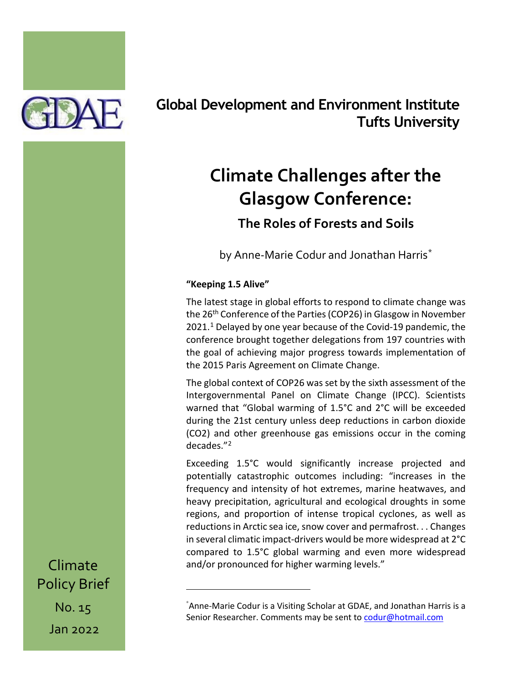

## **Global Development and Environment Institute Tufts University**

# **Climate Challenges after the Glasgow Conference:**

## **The Roles of Forests and Soils**

by Anne-Marie Codur and Jonathan Harris[\\*](#page-0-0)

### **"Keeping 1.5 Alive"**

The latest stage in global efforts to respond to climate change was the 26<sup>th</sup> Conference of the Parties (COP26) in Glasgow in November  $2021.<sup>1</sup>$  $2021.<sup>1</sup>$  $2021.<sup>1</sup>$  Delayed by one year because of the Covid-19 pandemic, the conference brought together delegations from 197 countries with the goal of achieving major progress towards implementation of the 2015 Paris Agreement on Climate Change.

The global context of COP26 was set by the sixth assessment of the Intergovernmental Panel on Climate Change (IPCC). Scientists warned that "Global warming of 1.5°C and 2°C will be exceeded during the 21st century unless deep reductions in carbon dioxide (CO2) and other greenhouse gas emissions occur in the coming decades."[2](#page-10-1)

Exceeding 1.5°C would significantly increase projected and potentially catastrophic outcomes including: "increases in the frequency and intensity of hot extremes, marine heatwaves, and heavy precipitation, agricultural and ecological droughts in some regions, and proportion of intense tropical cyclones, as well as reductions in Arctic sea ice, snow cover and permafrost. . . Changes in several climatic impact-drivers would be more widespread at 2°C compared to 1.5°C global warming and even more widespread and/or pronounced for higher warming levels."

<span id="page-0-0"></span>Climate Policy Brief No. 15 Jan 2022

<sup>\*</sup> Anne-Marie Codur is a Visiting Scholar at GDAE, and Jonathan Harris is a Senior Researcher. Comments may be sent to [codur@hotmail.com](mailto:codur@hotmail.com)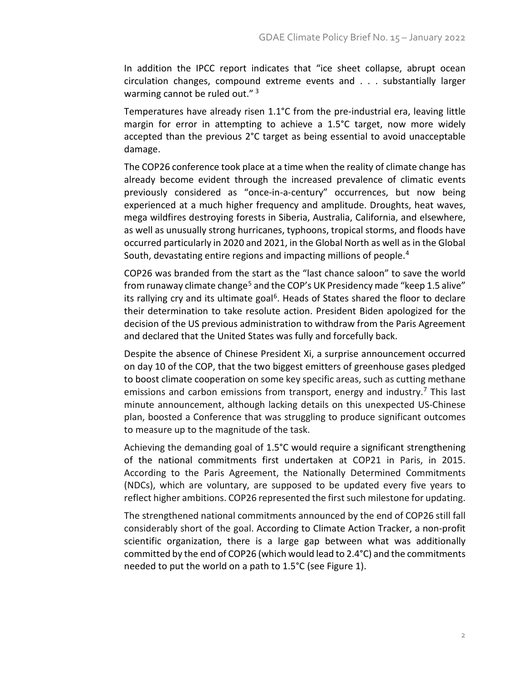In addition the IPCC report indicates that "ice sheet collapse, abrupt ocean circulation changes, compound extreme events and . . . substantially larger warming cannot be ruled out." [3](#page-10-2)

Temperatures have already risen 1.1°C from the pre-industrial era, leaving little margin for error in attempting to achieve a 1.5°C target, now more widely accepted than the previous 2°C target as being essential to avoid unacceptable damage.

The COP26 conference took place at a time when the reality of climate change has already become evident through the increased prevalence of climatic events previously considered as "once-in-a-century" occurrences, but now being experienced at a much higher frequency and amplitude. Droughts, heat waves, mega wildfires destroying forests in Siberia, Australia, California, and elsewhere, as well as unusually strong hurricanes, typhoons, tropical storms, and floods have occurred particularly in 2020 and 2021, in the Global North as well as in the Global South, devastating entire regions and impacting millions of people.<sup>[4](#page-10-3)</sup>

COP26 was branded from the start as the "last chance saloon" to save the world from runaway climate change<sup>[5](#page-10-4)</sup> and the COP's UK Presidency made "keep 1.5 alive" its rallying cry and its ultimate goal<sup>6</sup>. Heads of States shared the floor to declare their determination to take resolute action. President Biden apologized for the decision of the US previous administration to withdraw from the Paris Agreement and declared that the United States was fully and forcefully back.

Despite the absence of Chinese President Xi, a surprise announcement occurred on day 10 of the COP, that the two biggest emitters of greenhouse gases pledged to boost climate cooperation on some key specific areas, such as cutting methane emissions and carbon emissions from transport, energy and industry.<sup>[7](#page-11-1)</sup> This last minute announcement, although lacking details on this unexpected US-Chinese plan, boosted a Conference that was struggling to produce significant outcomes to measure up to the magnitude of the task.

Achieving the demanding goal of 1.5°C would require a significant strengthening of the national commitments first undertaken at COP21 in Paris, in 2015. According to the Paris Agreement, the Nationally Determined Commitments (NDCs), which are voluntary, are supposed to be updated every five years to reflect higher ambitions. COP26 represented the first such milestone for updating.

The strengthened national commitments announced by the end of COP26 still fall considerably short of the goal. According to Climate Action Tracker, a non-profit scientific organization, there is a large gap between what was additionally committed by the end of COP26 (which would lead to 2.4°C) and the commitments needed to put the world on a path to 1.5°C (see Figure 1).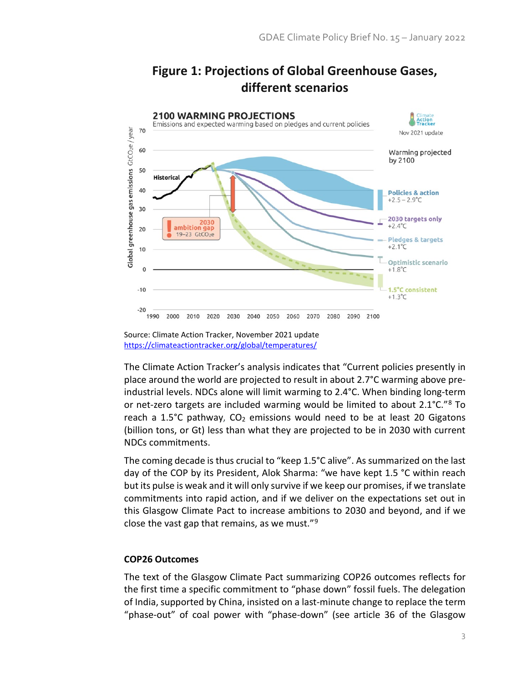

## **Figure 1: Projections of Global Greenhouse Gases, different scenarios**

The Climate Action Tracker's analysis indicates that "Current policies presently in place around the world are projected to result in about 2.7°C warming above preindustrial levels. NDCs alone will limit warming to 2.4°C. When binding long-term or net-zero targets are included warming would be limited to about  $2.1^{\circ}$ C."<sup>[8](#page-11-2)</sup> To reach a 1.5 $\degree$ C pathway, CO<sub>2</sub> emissions would need to be at least 20 Gigatons (billion tons, or Gt) less than what they are projected to be in 2030 with current NDCs commitments.

The coming decade is thus crucial to "keep 1.5°C alive". As summarized on the last day of the COP by its President, Alok Sharma: "we have kept 1.5 °C within reach but its pulse is weak and it will only survive if we keep our promises, if we translate commitments into rapid action, and if we deliver on the expectations set out in this Glasgow Climate Pact to increase ambitions to 2030 and beyond, and if we close the vast gap that remains, as we must." $9$ 

#### **COP26 Outcomes**

The text of the Glasgow Climate Pact summarizing COP26 outcomes reflects for the first time a specific commitment to "phase down" fossil fuels. The delegation of India, supported by China, insisted on a last-minute change to replace the term "phase-out" of coal power with "phase-down" (see article 36 of the Glasgow

Source: Climate Action Tracker, November 2021 update <https://climateactiontracker.org/global/temperatures/>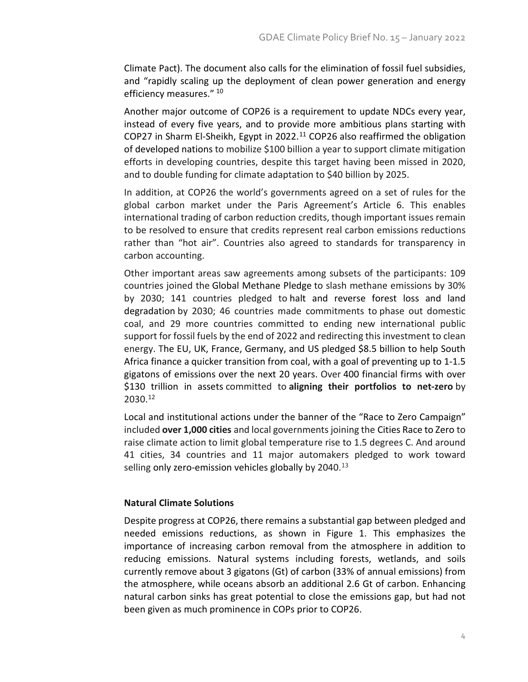Climate Pact). The document also calls for the elimination of fossil fuel subsidies, and "rapidly scaling up the deployment of clean power generation and energy efficiency measures." [10](#page-11-4)

Another major outcome of COP26 is a requirement to update NDCs every year, instead of every five years, and to provide more ambitious plans starting with COP27 in Sharm El-Sheikh, Egypt in 2022.<sup>[11](#page-11-5)</sup> COP26 also reaffirmed the obligation of developed nations to mobilize \$100 billion a year to support climate mitigation efforts in developing countries, despite this target having been missed in 2020, and to double funding for climate adaptation to \$40 billion by 2025.

In addition, at COP26 the world's governments agreed on a set of rules for the global carbon market under the Paris Agreement's Article 6. This enables international trading of carbon reduction credits, though important issues remain to be resolved to ensure that credits represent real carbon emissions reductions rather than "hot air". Countries also agreed to standards for transparency in carbon accounting.

Other important areas saw agreements among subsets of the participants: 109 countries joined the Global Methane Pledge to slash methane emissions by 30% by 2030; 141 countries pledged to halt and reverse forest loss and land degradation by 2030; 46 countries made commitments to phase out domestic coal, and 29 more countries committed to ending new international public support for fossil fuels by the end of 2022 and redirecting this investment to clean energy. The EU, UK, France, Germany, and US pledged \$8.5 billion to help South Africa finance a quicker transition from coal, with a goal of preventing up to 1-1.5 gigatons of emissions over the next 20 years. Over 400 financial firms with over \$130 trillion in assets committed to **aligning their portfolios to net-zero** by 2030.[12](#page-11-6)

Local and institutional actions under the banner of the "Race to Zero Campaign" included **over 1,000 cities** and local governments joining the Cities Race to Zero to raise climate action to limit global temperature rise to 1.5 degrees C. And around 41 cities, 34 countries and 11 major automakers pledged to work toward selling only zero-emission vehicles globally by 2040.<sup>[13](#page-11-7)</sup>

#### **Natural Climate Solutions**

Despite progress at COP26, there remains a substantial gap between pledged and needed emissions reductions, as shown in Figure 1. This emphasizes the importance of increasing carbon removal from the atmosphere in addition to reducing emissions. Natural systems including forests, wetlands, and soils currently remove about 3 gigatons (Gt) of carbon (33% of annual emissions) from the atmosphere, while oceans absorb an additional 2.6 Gt of carbon. Enhancing natural carbon sinks has great potential to close the emissions gap, but had not been given as much prominence in COPs prior to COP26.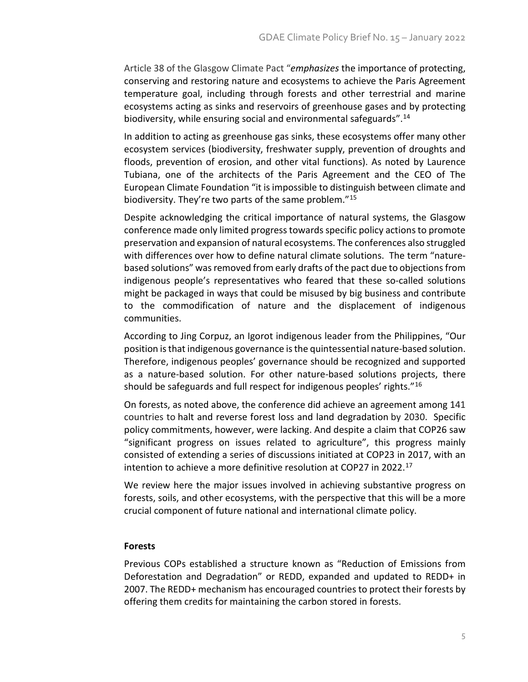Article 38 of the Glasgow Climate Pact "*emphasizes* the importance of protecting, conserving and restoring nature and ecosystems to achieve the Paris Agreement temperature goal, including through forests and other terrestrial and marine ecosystems acting as sinks and reservoirs of greenhouse gases and by protecting biodiversity, while ensuring social and environmental safeguards".<sup>[14](#page-11-8)</sup>

In addition to acting as greenhouse gas sinks, these ecosystems offer many other ecosystem services (biodiversity, freshwater supply, prevention of droughts and floods, prevention of erosion, and other vital functions). As noted by Laurence Tubiana, one of the architects of the Paris Agreement and the CEO of The European Climate Foundation "it is impossible to distinguish between climate and biodiversity. They're two parts of the same problem."[15](#page-11-9)

Despite acknowledging the critical importance of natural systems, the Glasgow conference made only limited progress towards specific policy actions to promote preservation and expansion of natural ecosystems. The conferences also struggled with differences over how to define natural climate solutions. The term "naturebased solutions" was removed from early drafts of the pact due to objections from indigenous people's representatives who feared that these so-called solutions might be packaged in ways that could be misused by big business and contribute to the commodification of nature and the displacement of indigenous communities.

According to Jing Corpuz, an Igorot indigenous leader from the Philippines, "Our position is that indigenous governance is the quintessential nature-based solution. Therefore, indigenous peoples' governance should be recognized and supported as a nature-based solution. For other nature-based solutions projects, there should be safeguards and full respect for indigenous peoples' rights."[16](#page-11-10)

On forests, as noted above, the conference did achieve an agreement among 141 countries to halt and reverse forest loss and land degradation by 2030. Specific policy commitments, however, were lacking. And despite a claim that COP26 saw "significant progress on issues related to agriculture", this progress mainly consisted of extending a series of discussions initiated at COP23 in 2017, with an intention to achieve a more definitive resolution at COP27 in 2022.[17](#page-11-11)

We review here the major issues involved in achieving substantive progress on forests, soils, and other ecosystems, with the perspective that this will be a more crucial component of future national and international climate policy.

#### **Forests**

Previous COPs established a structure known as "Reduction of Emissions from Deforestation and Degradation" or REDD, expanded and updated to REDD+ in 2007. The REDD+ mechanism has encouraged countries to protect their forests by offering them credits for maintaining the carbon stored in forests.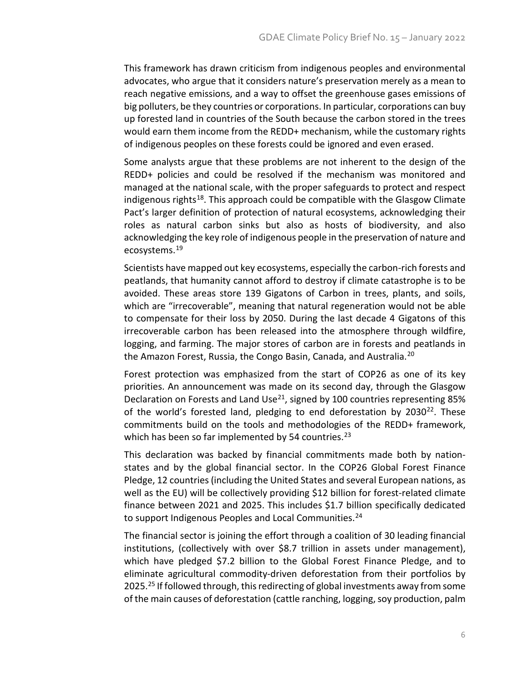This framework has drawn criticism from indigenous peoples and environmental advocates, who argue that it considers nature's preservation merely as a mean to reach negative emissions, and a way to offset the greenhouse gases emissions of big polluters, be they countries or corporations. In particular, corporations can buy up forested land in countries of the South because the carbon stored in the trees would earn them income from the REDD+ mechanism, while the customary rights of indigenous peoples on these forests could be ignored and even erased.

Some analysts argue that these problems are not inherent to the design of the REDD+ policies and could be resolved if the mechanism was monitored and managed at the national scale, with the proper safeguards to protect and respect indigenous rights<sup>[18](#page-12-0)</sup>. This approach could be compatible with the Glasgow Climate Pact's larger definition of protection of natural ecosystems, acknowledging their roles as natural carbon sinks but also as hosts of biodiversity, and also acknowledging the key role of indigenous people in the preservation of nature and ecosystems.[19](#page-12-1)

Scientists have mapped out key ecosystems, especially the carbon-rich forests and peatlands, that humanity cannot afford to destroy if climate catastrophe is to be avoided. These areas store 139 Gigatons of Carbon in trees, plants, and soils, which are "irrecoverable", meaning that natural regeneration would not be able to compensate for their loss by 2050. During the last decade 4 Gigatons of this irrecoverable carbon has been released into the atmosphere through wildfire, logging, and farming. The major stores of carbon are in forests and peatlands in the Amazon Forest, Russia, the Congo Basin, Canada, and Australia.<sup>[20](#page-12-2)</sup>

Forest protection was emphasized from the start of COP26 as one of its key priorities. An announcement was made on its second day, through the Glasgow Declaration on Forests and Land Use<sup>[21](#page-12-3)</sup>, signed by 100 countries representing 85% of the world's forested land, pledging to end deforestation by 2030<sup>[22](#page-12-4)</sup>. These commitments build on the tools and methodologies of the REDD+ framework, which has been so far implemented by 54 countries.<sup>[23](#page-12-5)</sup>

This declaration was backed by financial commitments made both by nationstates and by the global financial sector. In the COP26 Global Forest Finance Pledge, 12 countries (including the United States and several European nations, as well as the EU) will be collectively providing \$12 billion for forest-related climate finance between 2021 and 2025. This includes \$1.7 billion specifically dedicated to support Indigenous Peoples and Local Communities.<sup>[24](#page-12-6)</sup>

The financial sector is joining the effort through a coalition of 30 leading financial institutions, (collectively with over \$8.7 trillion in assets under management), which have pledged \$7.2 billion to the Global Forest Finance Pledge, and to eliminate agricultural commodity-driven deforestation from their portfolios by 20[25](#page-12-7).<sup>25</sup> If followed through, this redirecting of global investments away from some of the main causes of deforestation (cattle ranching, logging, soy production, palm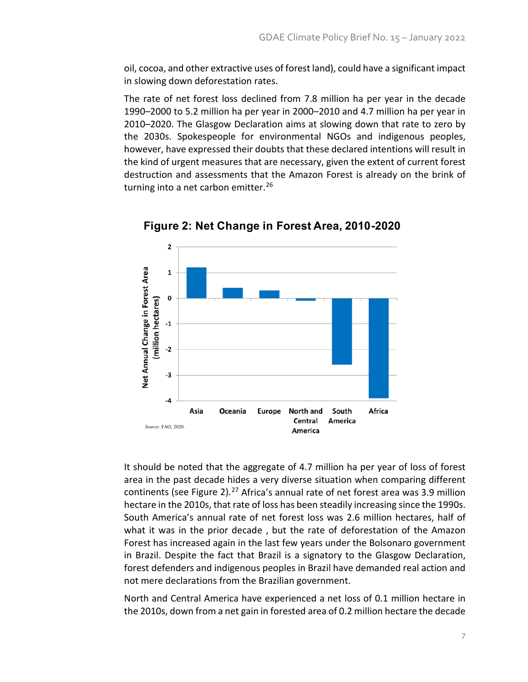oil, cocoa, and other extractive uses of forest land), could have a significant impact in slowing down deforestation rates.

The rate of net forest loss declined from 7.8 million ha per year in the decade 1990–2000 to 5.2 million ha per year in 2000–2010 and 4.7 million ha per year in 2010–2020. The Glasgow Declaration aims at slowing down that rate to zero by the 2030s. Spokespeople for environmental NGOs and indigenous peoples, however, have expressed their doubts that these declared intentions will result in the kind of urgent measures that are necessary, given the extent of current forest destruction and assessments that the Amazon Forest is already on the brink of turning into a net carbon emitter.<sup>[26](#page-12-8)</sup>



**Figure 2: Net Change in Forest Area, 2010-2020**

It should be noted that the aggregate of 4.7 million ha per year of loss of forest area in the past decade hides a very diverse situation when comparing different continents (see Figure 2). $^{27}$  $^{27}$  $^{27}$  Africa's annual rate of net forest area was 3.9 million hectare in the 2010s, that rate of loss has been steadily increasing since the 1990s. South America's annual rate of net forest loss was 2.6 million hectares, half of what it was in the prior decade , but the rate of deforestation of the Amazon Forest has increased again in the last few years under the Bolsonaro government in Brazil. Despite the fact that Brazil is a signatory to the Glasgow Declaration, forest defenders and indigenous peoples in Brazil have demanded real action and not mere declarations from the Brazilian government.

North and Central America have experienced a net loss of 0.1 million hectare in the 2010s, down from a net gain in forested area of 0.2 million hectare the decade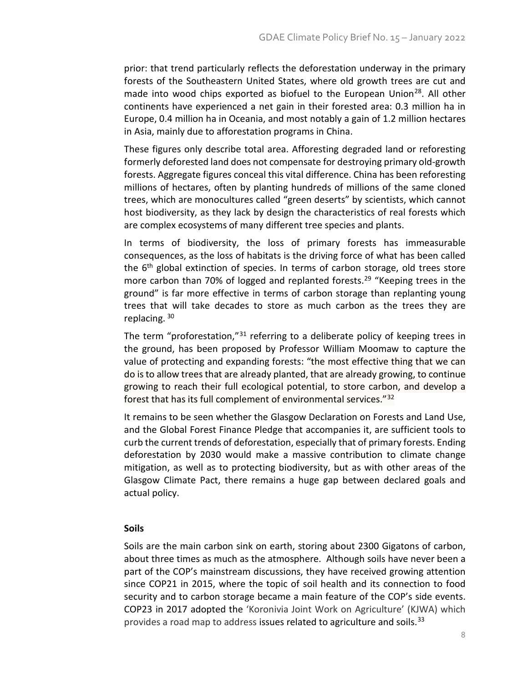prior: that trend particularly reflects the deforestation underway in the primary forests of the Southeastern United States, where old growth trees are cut and made into wood chips exported as biofuel to the European Union<sup>[28](#page-12-10)</sup>. All other continents have experienced a net gain in their forested area: 0.3 million ha in Europe, 0.4 million ha in Oceania, and most notably a gain of 1.2 million hectares in Asia, mainly due to afforestation programs in China.

These figures only describe total area. Afforesting degraded land or reforesting formerly deforested land does not compensate for destroying primary old-growth forests. Aggregate figures conceal this vital difference. China has been reforesting millions of hectares, often by planting hundreds of millions of the same cloned trees, which are monocultures called "green deserts" by scientists, which cannot host biodiversity, as they lack by design the characteristics of real forests which are complex ecosystems of many different tree species and plants.

In terms of biodiversity, the loss of primary forests has immeasurable consequences, as the loss of habitats is the driving force of what has been called the  $6<sup>th</sup>$  global extinction of species. In terms of carbon storage, old trees store more carbon than 70% of logged and replanted forests.<sup>[29](#page-12-11)</sup> "Keeping trees in the ground" is far more effective in terms of carbon storage than replanting young trees that will take decades to store as much carbon as the trees they are replacing. [30](#page-12-12)

The term "proforestation,"[31](#page-13-0) referring to a deliberate policy of keeping trees in the ground, has been proposed by Professor William Moomaw to capture the value of protecting and expanding forests: "the most effective thing that we can do is to allow trees that are already planted, that are already growing, to continue growing to reach their full ecological potential, to store carbon, and develop a forest that has its full complement of environmental services."[32](#page-13-1)

It remains to be seen whether the Glasgow Declaration on Forests and Land Use, and the Global Forest Finance Pledge that accompanies it, are sufficient tools to curb the current trends of deforestation, especially that of primary forests. Ending deforestation by 2030 would make a massive contribution to climate change mitigation, as well as to protecting biodiversity, but as with other areas of the Glasgow Climate Pact, there remains a huge gap between declared goals and actual policy.

#### **Soils**

Soils are the main carbon sink on earth, storing about 2300 Gigatons of carbon, about three times as much as the atmosphere. Although soils have never been a part of the COP's mainstream discussions, they have received growing attention since COP21 in 2015, where the topic of soil health and its connection to food security and to carbon storage became a main feature of the COP's side events. COP23 in 2017 adopted the 'Koronivia Joint Work on Agriculture' (KJWA) which provides a road map to address issues related to agriculture and soils.<sup>[33](#page-13-2)</sup>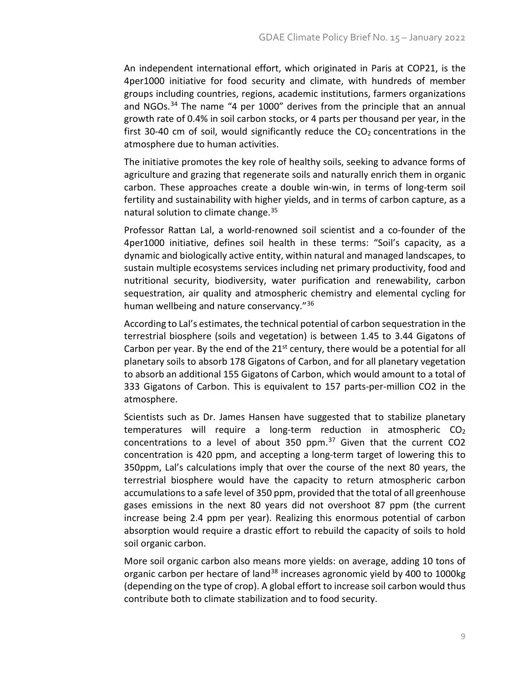An independent international effort, which originated in Paris at COP21, is the 4per1000 initiative for food security and climate, with hundreds of member groups including countries, regions, academic institutions, farmers organizations and NGOs.<sup>[34](#page-13-3)</sup> The name "4 per 1000" derives from the principle that an annual growth rate of 0.4% in soil carbon stocks, or 4 parts per thousand per year, in the first 30-40 cm of soil, would significantly reduce the  $CO<sub>2</sub>$  concentrations in the atmosphere due to human activities.

The initiative promotes the key role of healthy soils, seeking to advance forms of agriculture and grazing that regenerate soils and naturally enrich them in organic carbon. These approaches create a double win-win, in terms of long-term soil fertility and sustainability with higher yields, and in terms of carbon capture, as a natural solution to climate change.<sup>[35](#page-13-4)</sup>

Professor Rattan Lal, a world-renowned soil scientist and a co-founder of the 4per1000 initiative, defines soil health in these terms: "Soil's capacity, as a dynamic and biologically active entity, within natural and managed landscapes, to sustain multiple ecosystems services including net primary productivity, food and nutritional security, biodiversity, water purification and renewability, carbon sequestration, air quality and atmospheric chemistry and elemental cycling for human wellbeing and nature conservancy."[36](#page-13-5)

According to Lal's estimates, the technical potential of carbon sequestration in the terrestrial biosphere (soils and vegetation) is between 1.45 to 3.44 Gigatons of Carbon per year. By the end of the  $21^{st}$  century, there would be a potential for all planetary soils to absorb 178 Gigatons of Carbon, and for all planetary vegetation to absorb an additional 155 Gigatons of Carbon, which would amount to a total of 333 Gigatons of Carbon. This is equivalent to 157 parts-per-million CO2 in the atmosphere.

Scientists such as Dr. James Hansen have suggested that to stabilize planetary temperatures will require a long-term reduction in atmospheric  $CO<sub>2</sub>$ concentrations to a level of about 350 ppm. $37$  Given that the current CO2 concentration is 420 ppm, and accepting a long-term target of lowering this to 350ppm, Lal's calculations imply that over the course of the next 80 years, the terrestrial biosphere would have the capacity to return atmospheric carbon accumulations to a safe level of 350 ppm, provided that the total of all greenhouse gases emissions in the next 80 years did not overshoot 87 ppm (the current increase being 2.4 ppm per year). Realizing this enormous potential of carbon absorption would require a drastic effort to rebuild the capacity of soils to hold soil organic carbon.

More soil organic carbon also means more yields: on average, adding 10 tons of organic carbon per hectare of land<sup>[38](#page-13-7)</sup> increases agronomic yield by 400 to 1000kg (depending on the type of crop). A global effort to increase soil carbon would thus contribute both to climate stabilization and to food security.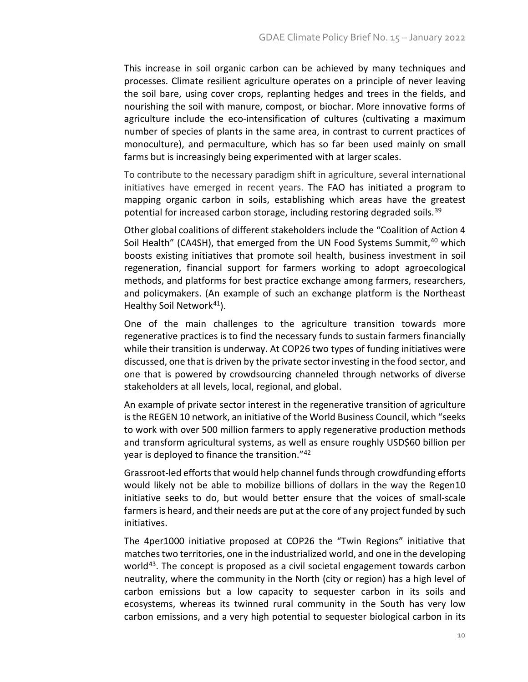This increase in soil organic carbon can be achieved by many techniques and processes. Climate resilient agriculture operates on a principle of never leaving the soil bare, using cover crops, replanting hedges and trees in the fields, and nourishing the soil with manure, compost, or biochar. More innovative forms of agriculture include the eco-intensification of cultures (cultivating a maximum number of species of plants in the same area, in contrast to current practices of monoculture), and permaculture, which has so far been used mainly on small farms but is increasingly being experimented with at larger scales.

To contribute to the necessary paradigm shift in agriculture, several international initiatives have emerged in recent years. The FAO has initiated a program to mapping organic carbon in soils, establishing which areas have the greatest potential for increased carbon storage, including restoring degraded soils.<sup>[39](#page-13-8)</sup>

Other global coalitions of different stakeholders include the "Coalition of Action 4 Soil Health" (CA4SH), that emerged from the UN Food Systems Summit, <sup>[40](#page-13-9)</sup> which boosts existing initiatives that promote soil health, business investment in soil regeneration, financial support for farmers working to adopt agroecological methods, and platforms for best practice exchange among farmers, researchers, and policymakers. (An example of such an exchange platform is the Northeast Healthy Soil Network<sup>[41](#page-13-10)</sup>).

One of the main challenges to the agriculture transition towards more regenerative practices is to find the necessary funds to sustain farmers financially while their transition is underway. At COP26 two types of funding initiatives were discussed, one that is driven by the private sector investing in the food sector, and one that is powered by crowdsourcing channeled through networks of diverse stakeholders at all levels, local, regional, and global.

An example of private sector interest in the regenerative transition of agriculture is the REGEN 10 network, an initiative of the World Business Council, which "seeks to work with over 500 million farmers to apply regenerative production methods and transform agricultural systems, as well as ensure roughly USD\$60 billion per year is deployed to finance the transition."[42](#page-13-11)

Grassroot-led efforts that would help channel funds through crowdfunding efforts would likely not be able to mobilize billions of dollars in the way the Regen10 initiative seeks to do, but would better ensure that the voices of small-scale farmers is heard, and their needs are put at the core of any project funded by such initiatives.

The 4per1000 initiative proposed at COP26 the "Twin Regions" initiative that matches two territories, one in the industrialized world, and one in the developing world<sup>43</sup>. The concept is proposed as a civil societal engagement towards carbon neutrality, where the community in the North (city or region) has a high level of carbon emissions but a low capacity to sequester carbon in its soils and ecosystems, whereas its twinned rural community in the South has very low carbon emissions, and a very high potential to sequester biological carbon in its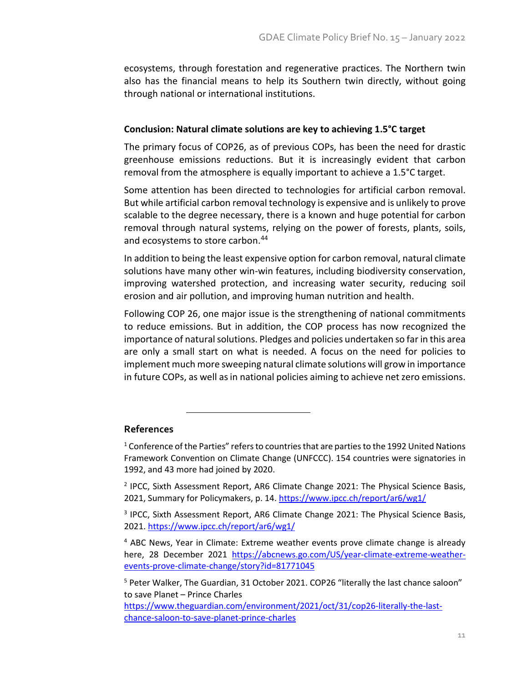ecosystems, through forestation and regenerative practices. The Northern twin also has the financial means to help its Southern twin directly, without going through national or international institutions.

#### **Conclusion: Natural climate solutions are key to achieving 1.5°C target**

The primary focus of COP26, as of previous COPs, has been the need for drastic greenhouse emissions reductions. But it is increasingly evident that carbon removal from the atmosphere is equally important to achieve a 1.5°C target.

Some attention has been directed to technologies for artificial carbon removal. But while artificial carbon removal technology is expensive and is unlikely to prove scalable to the degree necessary, there is a known and huge potential for carbon removal through natural systems, relying on the power of forests, plants, soils, and ecosystems to store carbon.<sup>[44](#page-14-0)</sup>

In addition to being the least expensive option for carbon removal, natural climate solutions have many other win-win features, including biodiversity conservation, improving watershed protection, and increasing water security, reducing soil erosion and air pollution, and improving human nutrition and health.

Following COP 26, one major issue is the strengthening of national commitments to reduce emissions. But in addition, the COP process has now recognized the importance of natural solutions. Pledges and policies undertaken so far in this area are only a small start on what is needed. A focus on the need for policies to implement much more sweeping natural climate solutions will grow in importance in future COPs, as well as in national policies aiming to achieve net zero emissions.

#### <span id="page-10-0"></span>**References**

 $1$  Conference of the Parties" refers to countries that are parties to the 1992 United Nations Framework Convention on Climate Change (UNFCCC). 154 countries were signatories in 1992, and 43 more had joined by 2020.

<span id="page-10-1"></span><sup>2</sup> IPCC, Sixth Assessment Report, AR6 Climate Change 2021: The Physical Science Basis, 2021, Summary for Policymakers, p. 14[. https://www.ipcc.ch/report/ar6/wg1/](https://www.ipcc.ch/report/ar6/wg1/)

<span id="page-10-3"></span><sup>4</sup> ABC News, Year in Climate: Extreme weather events prove climate change is already here, 28 December 2021 [https://abcnews.go.com/US/year-climate-extreme-weather](https://abcnews.go.com/US/year-climate-extreme-weather-events-prove-climate-change/story?id=81771045)[events-prove-climate-change/story?id=81771045](https://abcnews.go.com/US/year-climate-extreme-weather-events-prove-climate-change/story?id=81771045)

<span id="page-10-4"></span><sup>5</sup> Peter Walker, The Guardian, 31 October 2021. COP26 "literally the last chance saloon" to save Planet – Prince Charles

[https://www.theguardian.com/environment/2021/oct/31/cop26-literally-the-last](https://www.theguardian.com/environment/2021/oct/31/cop26-literally-the-last-chance-saloon-to-save-planet-prince-charles)[chance-saloon-to-save-planet-prince-charles](https://www.theguardian.com/environment/2021/oct/31/cop26-literally-the-last-chance-saloon-to-save-planet-prince-charles)

<span id="page-10-2"></span><sup>&</sup>lt;sup>3</sup> IPCC, Sixth Assessment Report, AR6 Climate Change 2021: The Physical Science Basis, 2021. <https://www.ipcc.ch/report/ar6/wg1/>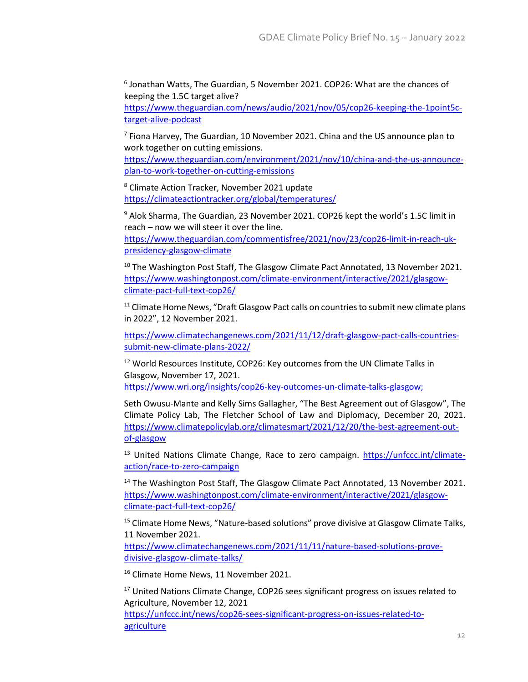<span id="page-11-0"></span><sup>6</sup> Jonathan Watts, The Guardian, 5 November 2021. COP26: What are the chances of keeping the 1.5C target alive?

[https://www.theguardian.com/news/audio/2021/nov/05/cop26-keeping-the-1point5c](https://www.theguardian.com/news/audio/2021/nov/05/cop26-keeping-the-1point5c-target-alive-podcast)[target-alive-podcast](https://www.theguardian.com/news/audio/2021/nov/05/cop26-keeping-the-1point5c-target-alive-podcast)

<span id="page-11-1"></span> $<sup>7</sup>$  Fiona Harvey, The Guardian, 10 November 2021. China and the US announce plan to</sup> work together on cutting emissions.

[https://www.theguardian.com/environment/2021/nov/10/china-and-the-us-announce](https://www.theguardian.com/environment/2021/nov/10/china-and-the-us-announce-plan-to-work-together-on-cutting-emissions)[plan-to-work-together-on-cutting-emissions](https://www.theguardian.com/environment/2021/nov/10/china-and-the-us-announce-plan-to-work-together-on-cutting-emissions)

<span id="page-11-2"></span><sup>8</sup> Climate Action Tracker, November 2021 update <https://climateactiontracker.org/global/temperatures/>

<span id="page-11-3"></span><sup>9</sup> Alok Sharma, The Guardian, 23 November 2021. COP26 kept the world's 1.5C limit in reach – now we will steer it over the line.

[https://www.theguardian.com/commentisfree/2021/nov/23/cop26-limit-in-reach-uk](https://www.theguardian.com/commentisfree/2021/nov/23/cop26-limit-in-reach-uk-presidency-glasgow-climate)[presidency-glasgow-climate](https://www.theguardian.com/commentisfree/2021/nov/23/cop26-limit-in-reach-uk-presidency-glasgow-climate)

<span id="page-11-4"></span> $10$  The Washington Post Staff, The Glasgow Climate Pact Annotated, 13 November 2021. [https://www.washingtonpost.com/climate-environment/interactive/2021/glasgow](https://www.washingtonpost.com/climate-environment/interactive/2021/glasgow-climate-pact-full-text-cop26/)[climate-pact-full-text-cop26/](https://www.washingtonpost.com/climate-environment/interactive/2021/glasgow-climate-pact-full-text-cop26/)

<span id="page-11-5"></span> $11$  Climate Home News, "Draft Glasgow Pact calls on countries to submit new climate plans in 2022", 12 November 2021.

[https://www.climatechangenews.com/2021/11/12/draft-glasgow-pact-calls-countries](https://www.climatechangenews.com/2021/11/12/draft-glasgow-pact-calls-countries-submit-new-climate-plans-2022/)[submit-new-climate-plans-2022/](https://www.climatechangenews.com/2021/11/12/draft-glasgow-pact-calls-countries-submit-new-climate-plans-2022/)

<span id="page-11-6"></span><sup>12</sup> World Resources Institute, COP26: Key outcomes from the UN Climate Talks in Glasgow, November 17, 2021.

[https://www.wri.org/insights/cop26-key-outcomes-un-climate-talks-glasgow;](https://www.wri.org/insights/cop26-key-outcomes-un-climate-talks-glasgow)

Seth Owusu-Mante and Kelly Sims Gallagher, "The Best Agreement out of Glasgow", The Climate Policy Lab, The Fletcher School of Law and Diplomacy, December 20, 2021. [https://www.climatepolicylab.org/climatesmart/2021/12/20/the-best-agreement-out](https://www.climatepolicylab.org/climatesmart/2021/12/20/the-best-agreement-out-of-glasgow)[of-glasgow](https://www.climatepolicylab.org/climatesmart/2021/12/20/the-best-agreement-out-of-glasgow)

<span id="page-11-7"></span><sup>13</sup> United Nations Climate Change, Race to zero campaign. [https://unfccc.int/climate](https://unfccc.int/climate-action/race-to-zero-campaign)[action/race-to-zero-campaign](https://unfccc.int/climate-action/race-to-zero-campaign)

<span id="page-11-8"></span><sup>14</sup> The Washington Post Staff, The Glasgow Climate Pact Annotated, 13 November 2021. [https://www.washingtonpost.com/climate-environment/interactive/2021/glasgow](https://www.washingtonpost.com/climate-environment/interactive/2021/glasgow-climate-pact-full-text-cop26/)[climate-pact-full-text-cop26/](https://www.washingtonpost.com/climate-environment/interactive/2021/glasgow-climate-pact-full-text-cop26/)

<span id="page-11-9"></span><sup>15</sup> Climate Home News, "Nature-based solutions" prove divisive at Glasgow Climate Talks, 11 November 2021.

[https://www.climatechangenews.com/2021/11/11/nature-based-solutions-prove](https://www.climatechangenews.com/2021/11/11/nature-based-solutions-prove-divisive-glasgow-climate-talks/)[divisive-glasgow-climate-talks/](https://www.climatechangenews.com/2021/11/11/nature-based-solutions-prove-divisive-glasgow-climate-talks/)

<span id="page-11-10"></span><sup>16</sup> Climate Home News, 11 November 2021.

<span id="page-11-11"></span><sup>17</sup> United Nations Climate Change, COP26 sees significant progress on issues related to Agriculture, November 12, 2021

[https://unfccc.int/news/cop26-sees-significant-progress-on-issues-related-to](https://unfccc.int/news/cop26-sees-significant-progress-on-issues-related-to-agriculture)[agriculture](https://unfccc.int/news/cop26-sees-significant-progress-on-issues-related-to-agriculture)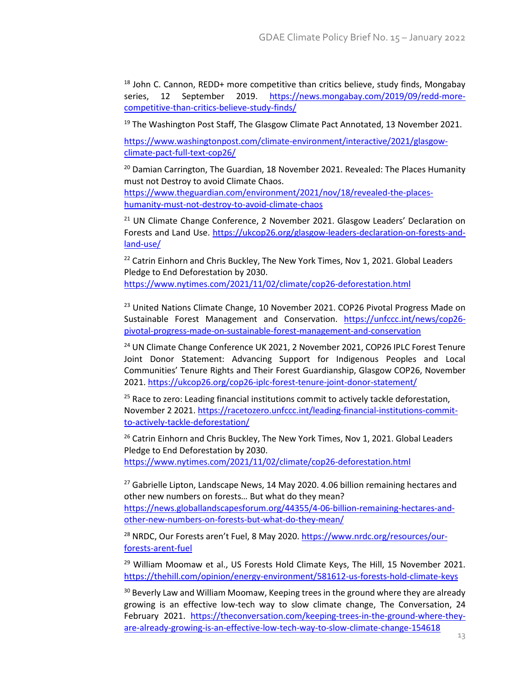<span id="page-12-0"></span> $18$  John C. Cannon, REDD+ more competitive than critics believe, study finds, Mongabay series, 12 September 2019. [https://news.mongabay.com/2019/09/redd-more](https://news.mongabay.com/2019/09/redd-more-competitive-than-critics-believe-study-finds/)[competitive-than-critics-believe-study-finds/](https://news.mongabay.com/2019/09/redd-more-competitive-than-critics-believe-study-finds/)

<span id="page-12-1"></span><sup>19</sup> The Washington Post Staff, The Glasgow Climate Pact Annotated, 13 November 2021.

[https://www.washingtonpost.com/climate-environment/interactive/2021/glasgow](https://www.washingtonpost.com/climate-environment/interactive/2021/glasgow-climate-pact-full-text-cop26/)[climate-pact-full-text-cop26/](https://www.washingtonpost.com/climate-environment/interactive/2021/glasgow-climate-pact-full-text-cop26/)

<span id="page-12-2"></span><sup>20</sup> Damian Carrington, The Guardian, 18 November 2021. Revealed: The Places Humanity must not Destroy to avoid Climate Chaos.

[https://www.theguardian.com/environment/2021/nov/18/revealed-the-places](https://www.theguardian.com/environment/2021/nov/18/revealed-the-places-humanity-must-not-destroy-to-avoid-climate-chaos)[humanity-must-not-destroy-to-avoid-climate-chaos](https://www.theguardian.com/environment/2021/nov/18/revealed-the-places-humanity-must-not-destroy-to-avoid-climate-chaos)

<span id="page-12-3"></span> $21$  UN Climate Change Conference, 2 November 2021. Glasgow Leaders' Declaration on Forests and Land Use. [https://ukcop26.org/glasgow-leaders-declaration-on-forests-and](https://ukcop26.org/glasgow-leaders-declaration-on-forests-and-land-use/)[land-use/](https://ukcop26.org/glasgow-leaders-declaration-on-forests-and-land-use/)

<span id="page-12-4"></span><sup>22</sup> Catrin Einhorn and Chris Buckley, The New York Times, Nov 1, 2021. Global Leaders Pledge to End Deforestation by 2030. <https://www.nytimes.com/2021/11/02/climate/cop26-deforestation.html>

<span id="page-12-5"></span><sup>23</sup> United Nations Climate Change, 10 November 2021. COP26 Pivotal Progress Made on Sustainable Forest Management and Conservation. [https://unfccc.int/news/cop26](https://unfccc.int/news/cop26-pivotal-progress-made-on-sustainable-forest-management-and-conservation) [pivotal-progress-made-on-sustainable-forest-management-and-conservation](https://unfccc.int/news/cop26-pivotal-progress-made-on-sustainable-forest-management-and-conservation)

<span id="page-12-6"></span><sup>24</sup> UN Climate Change Conference UK 2021, 2 November 2021, COP26 IPLC Forest Tenure Joint Donor Statement: Advancing Support for Indigenous Peoples and Local Communities' Tenure Rights and Their Forest Guardianship, Glasgow COP26, November 2021[. https://ukcop26.org/cop26-iplc-forest-tenure-joint-donor-statement/](https://ukcop26.org/cop26-iplc-forest-tenure-joint-donor-statement/)

<span id="page-12-7"></span> $25$  Race to zero: Leading financial institutions commit to actively tackle deforestation, November 2 2021. [https://racetozero.unfccc.int/leading-financial-institutions-commit](https://racetozero.unfccc.int/leading-financial-institutions-commit-to-actively-tackle-deforestation/)[to-actively-tackle-deforestation/](https://racetozero.unfccc.int/leading-financial-institutions-commit-to-actively-tackle-deforestation/)

<span id="page-12-8"></span> $26$  Catrin Einhorn and Chris Buckley, The New York Times, Nov 1, 2021. Global Leaders Pledge to End Deforestation by 2030.

<https://www.nytimes.com/2021/11/02/climate/cop26-deforestation.html>

<span id="page-12-9"></span> $27$  Gabrielle Lipton, Landscape News, 14 May 2020. 4.06 billion remaining hectares and other new numbers on forests… But what do they mean? [https://news.globallandscapesforum.org/44355/4-06-billion-remaining-hectares-and](https://news.globallandscapesforum.org/44355/4-06-billion-remaining-hectares-and-other-new-numbers-on-forests-but-what-do-they-mean/)[other-new-numbers-on-forests-but-what-do-they-mean/](https://news.globallandscapesforum.org/44355/4-06-billion-remaining-hectares-and-other-new-numbers-on-forests-but-what-do-they-mean/)

<span id="page-12-10"></span><sup>28</sup> NRDC, Our Forests aren't Fuel, 8 May 2020. [https://www.nrdc.org/resources/our](https://www.nrdc.org/resources/our-forests-arent-fuel)[forests-arent-fuel](https://www.nrdc.org/resources/our-forests-arent-fuel)

<span id="page-12-11"></span> $29$  William Moomaw et al., US Forests Hold Climate Keys, The Hill, 15 November 2021. <https://thehill.com/opinion/energy-environment/581612-us-forests-hold-climate-keys>

<span id="page-12-12"></span><sup>30</sup> Beverly Law and William Moomaw, Keeping trees in the ground where they are already growing is an effective low-tech way to slow climate change, The Conversation, 24 February 2021. [https://theconversation.com/keeping-trees-in-the-ground-where-they](https://theconversation.com/keeping-trees-in-the-ground-where-they-are-already-growing-is-an-effective-low-tech-way-to-slow-climate-change-154618)[are-already-growing-is-an-effective-low-tech-way-to-slow-climate-change-154618](https://theconversation.com/keeping-trees-in-the-ground-where-they-are-already-growing-is-an-effective-low-tech-way-to-slow-climate-change-154618)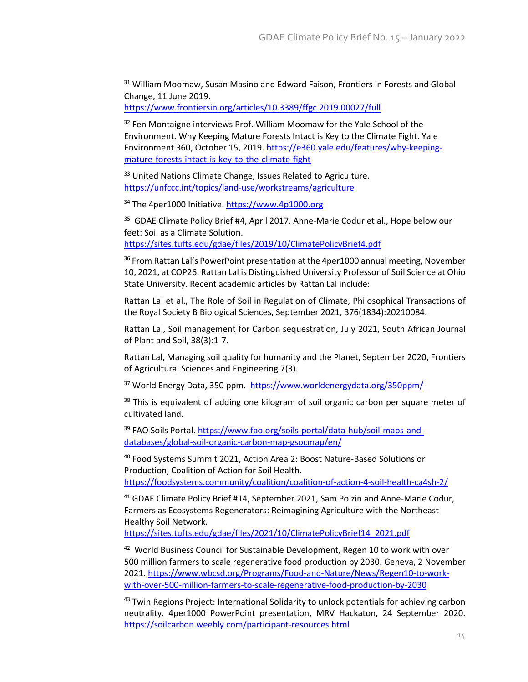<span id="page-13-0"></span><sup>31</sup> William Moomaw, Susan Masino and Edward Faison, Frontiers in Forests and Global Change, 11 June 2019.

<https://www.frontiersin.org/articles/10.3389/ffgc.2019.00027/full>

<span id="page-13-1"></span><sup>32</sup> Fen Montaigne interviews Prof. William Moomaw for the Yale School of the Environment. Why Keeping Mature Forests Intact is Key to the Climate Fight. Yale Environment 360, October 15, 2019. [https://e360.yale.edu/features/why-keeping](https://e360.yale.edu/features/why-keeping-mature-forests-intact-is-key-to-the-climate-fight)[mature-forests-intact-is-key-to-the-climate-fight](https://e360.yale.edu/features/why-keeping-mature-forests-intact-is-key-to-the-climate-fight)

<span id="page-13-2"></span><sup>33</sup> United Nations Climate Change, Issues Related to Agriculture. <https://unfccc.int/topics/land-use/workstreams/agriculture>

<span id="page-13-3"></span><sup>34</sup> The 4per1000 Initiative[. https://www.4p1000.org](https://www.4p1000.org/)

<span id="page-13-4"></span><sup>35</sup> GDAE Climate Policy Brief #4, April 2017. Anne-Marie Codur et al., Hope below our feet: Soil as a Climate Solution. <https://sites.tufts.edu/gdae/files/2019/10/ClimatePolicyBrief4.pdf>

<span id="page-13-5"></span><sup>36</sup> From Rattan Lal's PowerPoint presentation at the 4per1000 annual meeting, November 10, 2021, at COP26. Rattan Lal is Distinguished University Professor of Soil Science at Ohio State University. Recent academic articles by Rattan Lal include:

Rattan Lal et al., The Role of Soil in Regulation of Climate, Philosophical Transactions of the Royal Society B Biological Sciences, September 2021, 376(1834):20210084.

Rattan Lal, Soil management for Carbon sequestration, July 2021, South African Journal of Plant and Soil, 38(3):1-7.

Rattan Lal, Managing soil quality for humanity and the Planet, September 2020, Frontiers of Agricultural Sciences and Engineering 7(3).

<span id="page-13-6"></span><sup>37</sup> World Energy Data, 350 ppm. <https://www.worldenergydata.org/350ppm/>

<span id="page-13-7"></span><sup>38</sup> This is equivalent of adding one kilogram of soil organic carbon per square meter of cultivated land.

<span id="page-13-8"></span><sup>39</sup> FAO Soils Portal[. https://www.fao.org/soils-portal/data-hub/soil-maps-and](https://www.fao.org/soils-portal/data-hub/soil-maps-and-databases/global-soil-organic-carbon-map-gsocmap/en/)[databases/global-soil-organic-carbon-map-gsocmap/en/](https://www.fao.org/soils-portal/data-hub/soil-maps-and-databases/global-soil-organic-carbon-map-gsocmap/en/)

<span id="page-13-9"></span><sup>40</sup> Food Systems Summit 2021, Action Area 2: Boost Nature-Based Solutions or Production, Coalition of Action for Soil Health.

<https://foodsystems.community/coalition/coalition-of-action-4-soil-health-ca4sh-2/>

<span id="page-13-10"></span><sup>41</sup> GDAE Climate Policy Brief #14, September 2021, Sam Polzin and Anne-Marie Codur, Farmers as Ecosystems Regenerators: Reimagining Agriculture with the Northeast Healthy Soil Network.

[https://sites.tufts.edu/gdae/files/2021/10/ClimatePolicyBrief14\\_2021.pdf](https://sites.tufts.edu/gdae/files/2021/10/ClimatePolicyBrief14_2021.pdf)

<span id="page-13-11"></span><sup>42</sup> World Business Council for Sustainable Development, Regen 10 to work with over 500 million farmers to scale regenerative food production by 2030. Geneva, 2 November 2021. [https://www.wbcsd.org/Programs/Food-and-Nature/News/Regen10-to-work](https://www.wbcsd.org/Programs/Food-and-Nature/News/Regen10-to-work-with-over-500-million-farmers-to-scale-regenerative-food-production-by-2030)[with-over-500-million-farmers-to-scale-regenerative-food-production-by-2030](https://www.wbcsd.org/Programs/Food-and-Nature/News/Regen10-to-work-with-over-500-million-farmers-to-scale-regenerative-food-production-by-2030)

<span id="page-13-12"></span><sup>43</sup> Twin Regions Project: International Solidarity to unlock potentials for achieving carbon neutrality. 4per1000 PowerPoint presentation, MRV Hackaton, 24 September 2020. <https://soilcarbon.weebly.com/participant-resources.html>